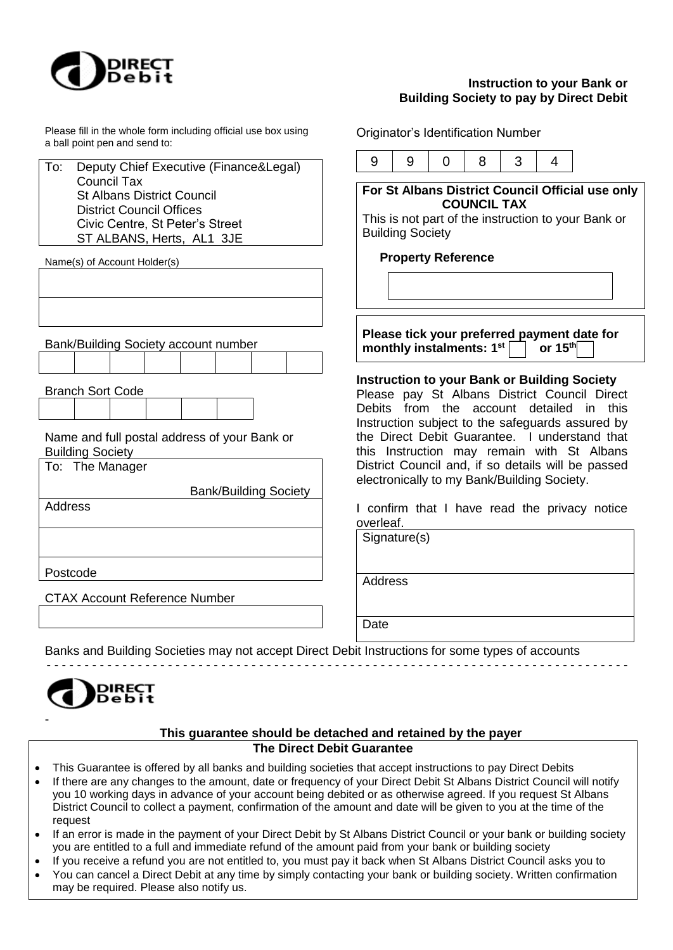

# **Instruction to your Bank or Building Society to pay by Direct Debit**

Please fill in the whole form including official use box using a ball point pen and send to:

To: Deputy Chief Executive (Finance&Legal) Council Tax St Albans District Council District Council Offices Civic Centre, St Peter's Street ST ALBANS, Herts, AL1 3JE

Name(s) of Account Holder(s)

| Bank/Building Society account number                                    |  |  |  |  |  |  |  |  |  |
|-------------------------------------------------------------------------|--|--|--|--|--|--|--|--|--|
|                                                                         |  |  |  |  |  |  |  |  |  |
| <b>Branch Sort Code</b>                                                 |  |  |  |  |  |  |  |  |  |
|                                                                         |  |  |  |  |  |  |  |  |  |
| Name and full postal address of your Bank or<br><b>Building Society</b> |  |  |  |  |  |  |  |  |  |
| To: The Manager                                                         |  |  |  |  |  |  |  |  |  |
| <b>Bank/Building Society</b>                                            |  |  |  |  |  |  |  |  |  |
| <b>Address</b>                                                          |  |  |  |  |  |  |  |  |  |
|                                                                         |  |  |  |  |  |  |  |  |  |

Postcode

CTAX Account Reference Number

Originator's Identification Number

|--|--|--|--|

**For St Albans District Council Official use only COUNCIL TAX**

This is not part of the instruction to your Bank or Building Society

## **Property Reference**

**Please tick your preferred payment date for monthly instalments: 1st**  $\vert$  | or 15<sup>th</sup>

## **Instruction to your Bank or Building Society**

Please pay St Albans District Council Direct Debits from the account detailed in this Instruction subject to the safeguards assured by the Direct Debit Guarantee. I understand that this Instruction may remain with St Albans District Council and, if so details will be passed electronically to my Bank/Building Society.

I confirm that I have read the privacy notice overleaf.

Signature(s) Address

Date

Banks and Building Societies may not accept Direct Debit Instructions for some types of accounts

- - - - - - - - - - - - - - - - - - - - - - - - - - - - - - - - - - - - - - - - - - - - - - - - - - - - - - - - - - - - - - - - - - - - - - - - - - - - -



## **This guarantee should be detached and retained by the payer The Direct Debit Guarantee**

- This Guarantee is offered by all banks and building societies that accept instructions to pay Direct Debits
- If there are any changes to the amount, date or frequency of your Direct Debit St Albans District Council will notify you 10 working days in advance of your account being debited or as otherwise agreed. If you request St Albans District Council to collect a payment, confirmation of the amount and date will be given to you at the time of the request
- If an error is made in the payment of your Direct Debit by St Albans District Council or your bank or building society you are entitled to a full and immediate refund of the amount paid from your bank or building society
- If you receive a refund you are not entitled to, you must pay it back when St Albans District Council asks you to
- You can cancel a Direct Debit at any time by simply contacting your bank or building society. Written confirmation may be required. Please also notify us.